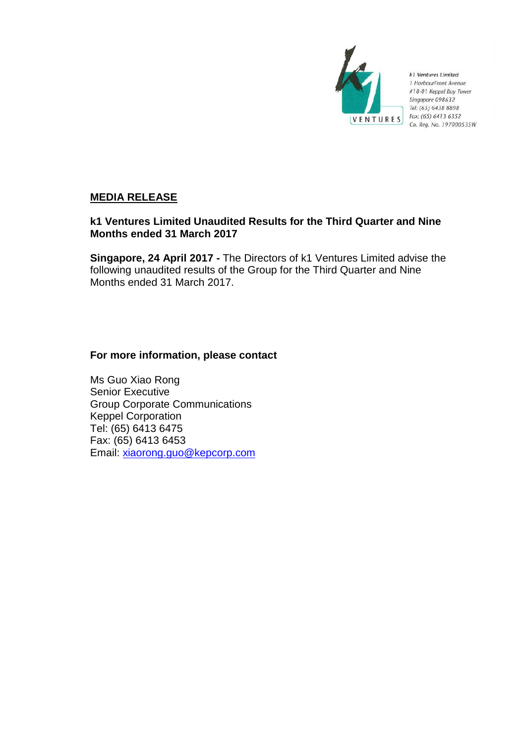

k1 Ventures Limited 1 HarbourFront Avenue #18-01 Keppel Bay Tower Singapore 098632 Tel: (65) 6438 8898 Fax: (65) 6413 6352 Co. Reg. No. 197000535W

## **MEDIA RELEASE**

## **k1 Ventures Limited Unaudited Results for the Third Quarter and Nine Months ended 31 March 2017**

**Singapore, 24 April 2017 -** The Directors of k1 Ventures Limited advise the following unaudited results of the Group for the Third Quarter and Nine Months ended 31 March 2017.

## **For more information, please contact**

Ms Guo Xiao Rong Senior Executive Group Corporate Communications Keppel Corporation Tel: (65) 6413 6475 Fax: (65) 6413 6453 Email: [xiaorong.guo@kepcorp.com](mailto:xiaorong.guo@kepcorp.com)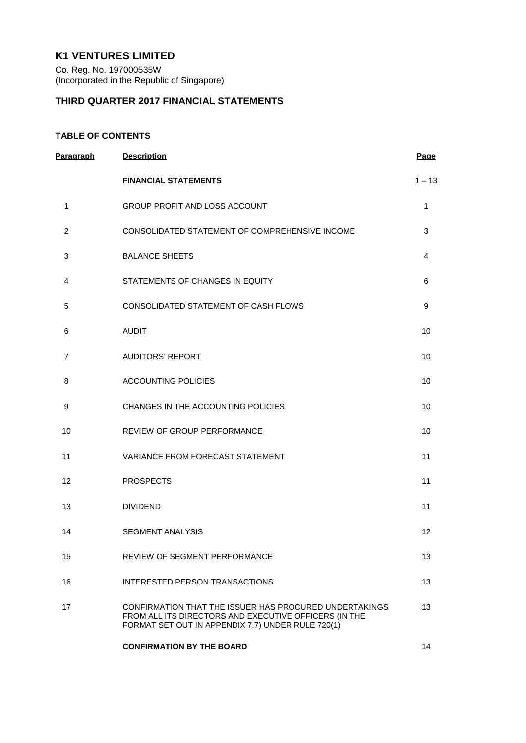## **K1 VENTURES LIMITED**

Co. Reg. No. 197000535W (Incorporated in the Republic of Singapore)

### **THIRD QUARTER 2017 FINANCIAL STATEMENTS**

### **TABLE OF CONTENTS**

| Paragraph      | <b>Description</b>                                                                                                                                                   | Page         |
|----------------|----------------------------------------------------------------------------------------------------------------------------------------------------------------------|--------------|
|                | <b>FINANCIAL STATEMENTS</b>                                                                                                                                          | $1 - 13$     |
| 1              | GROUP PROFIT AND LOSS ACCOUNT                                                                                                                                        | $\mathbf{1}$ |
| $\overline{2}$ | CONSOLIDATED STATEMENT OF COMPREHENSIVE INCOME                                                                                                                       | 3            |
| 3              | <b>BALANCE SHEETS</b>                                                                                                                                                | 4            |
| 4              | STATEMENTS OF CHANGES IN EQUITY                                                                                                                                      | 6            |
| 5              | CONSOLIDATED STATEMENT OF CASH FLOWS                                                                                                                                 | 9            |
| 6              | <b>AUDIT</b>                                                                                                                                                         | 10           |
| $\overline{7}$ | <b>AUDITORS' REPORT</b>                                                                                                                                              | 10           |
| 8              | <b>ACCOUNTING POLICIES</b>                                                                                                                                           | 10           |
| 9              | CHANGES IN THE ACCOUNTING POLICIES                                                                                                                                   | 10           |
| 10             | <b>REVIEW OF GROUP PERFORMANCE</b>                                                                                                                                   | 10           |
| 11             | VARIANCE FROM FORECAST STATEMENT                                                                                                                                     | 11           |
| 12             | <b>PROSPECTS</b>                                                                                                                                                     | 11           |
| 13             | <b>DIVIDEND</b>                                                                                                                                                      | 11           |
| 14             | <b>SEGMENT ANALYSIS</b>                                                                                                                                              | 12           |
| 15             | <b>REVIEW OF SEGMENT PERFORMANCE</b>                                                                                                                                 | 13           |
| 16             | INTERESTED PERSON TRANSACTIONS                                                                                                                                       | 13           |
| 17             | CONFIRMATION THAT THE ISSUER HAS PROCURED UNDERTAKINGS<br>FROM ALL ITS DIRECTORS AND EXECUTIVE OFFICERS (IN THE<br>FORMAT SET OUT IN APPENDIX 7.7) UNDER RULE 720(1) | 13           |
|                | <b>CONFIRMATION BY THE BOARD</b>                                                                                                                                     | 14           |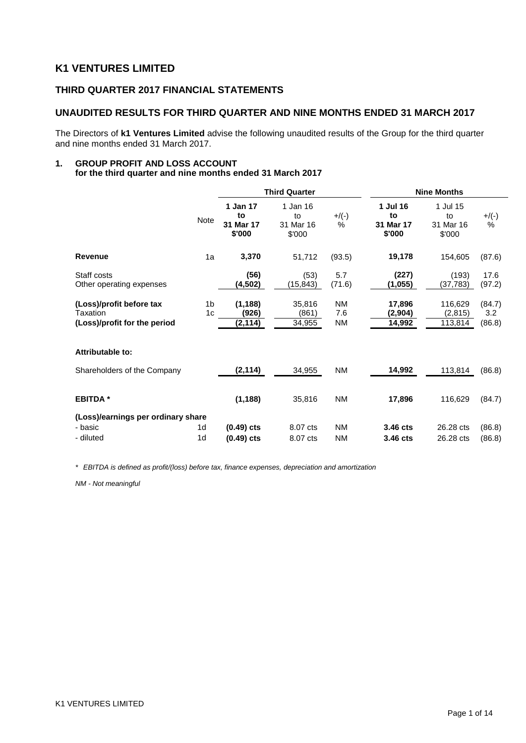## **K1 VENTURES LIMITED**

### **THIRD QUARTER 2017 FINANCIAL STATEMENTS**

## **UNAUDITED RESULTS FOR THIRD QUARTER AND NINE MONTHS ENDED 31 MARCH 2017**

The Directors of **k1 Ventures Limited** advise the following unaudited results of the Group for the third quarter and nine months ended 31 March 2017.

#### **1. GROUP PROFIT AND LOSS ACCOUNT for the third quarter and nine months ended 31 March 2017**

|                                                                      |                      |                                       | <b>Third Quarter</b>                  |                  |                                       | <b>Nine Months</b>                    |                         |
|----------------------------------------------------------------------|----------------------|---------------------------------------|---------------------------------------|------------------|---------------------------------------|---------------------------------------|-------------------------|
|                                                                      | <b>Note</b>          | 1 Jan 17<br>to<br>31 Mar 17<br>\$'000 | 1 Jan 16<br>to<br>31 Mar 16<br>\$'000 | $+$ /(-)<br>$\%$ | 1 Jul 16<br>to<br>31 Mar 17<br>\$'000 | 1 Jul 15<br>to<br>31 Mar 16<br>\$'000 | $+$ /(-)<br>$\%$        |
| <b>Revenue</b>                                                       | 1a                   | 3,370                                 | 51,712                                | (93.5)           | 19,178                                | 154,605                               | (87.6)                  |
| Staff costs<br>Other operating expenses                              |                      | (56)<br>(4,502)                       | (53)<br>(15,843)                      | 5.7<br>(71.6)    | (227)<br>(1,055)                      | (193)<br>(37,783)                     | 17.6<br>(97.2)          |
| (Loss)/profit before tax<br>Taxation<br>(Loss)/profit for the period | 1b<br>1c             | (1, 188)<br>(926)<br>(2, 114)         | 35,816<br>(861)<br>34,955             | ΝM<br>7.6<br>ΝM  | 17,896<br>(2,904)<br>14,992           | 116,629<br>(2,815)<br>113,814         | (84.7)<br>3.2<br>(86.8) |
| Attributable to:                                                     |                      |                                       |                                       |                  |                                       |                                       |                         |
| Shareholders of the Company                                          |                      | (2, 114)                              | 34,955                                | ΝM               | 14,992                                | 113,814                               | (86.8)                  |
| <b>EBITDA*</b>                                                       |                      | (1, 188)                              | 35,816                                | <b>NM</b>        | 17,896                                | 116,629                               | (84.7)                  |
| (Loss)/earnings per ordinary share<br>- basic<br>- diluted           | 1d<br>1 <sub>d</sub> | $(0.49)$ cts<br>$(0.49)$ cts          | 8.07 cts<br>8.07 cts                  | ΝM<br>ΝM         | 3.46 cts<br>3.46 cts                  | 26.28 cts<br>26.28 cts                | (86.8)<br>(86.8)        |

*\* EBITDA is defined as profit/(loss) before tax, finance expenses, depreciation and amortization*

*NM - Not meaningful*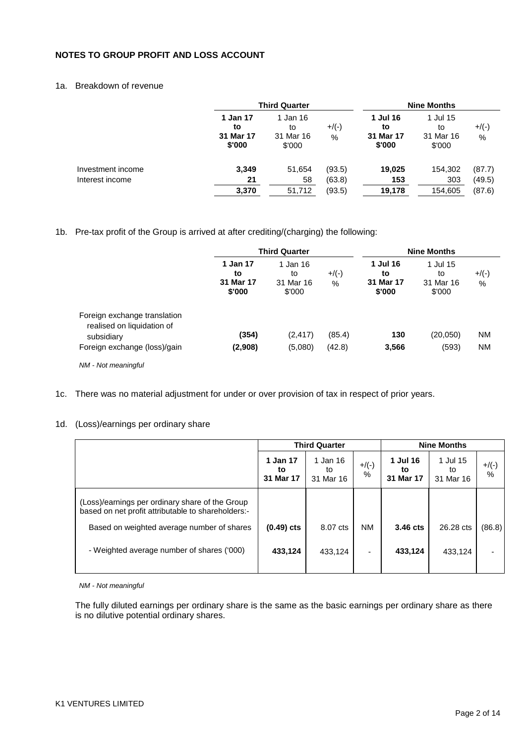### **NOTES TO GROUP PROFIT AND LOSS ACCOUNT**

### 1a. Breakdown of revenue

|                   | <b>Third Quarter</b>                  |                                       |               | <b>Nine Months</b>                    |                                       |                  |
|-------------------|---------------------------------------|---------------------------------------|---------------|---------------------------------------|---------------------------------------|------------------|
|                   | 1 Jan 17<br>to<br>31 Mar 17<br>\$'000 | 1 Jan 16<br>to<br>31 Mar 16<br>\$'000 | $+$ /(-)<br>% | 1 Jul 16<br>to<br>31 Mar 17<br>\$'000 | 1 Jul 15<br>to<br>31 Mar 16<br>\$'000 | $+$ /(-)<br>$\%$ |
| Investment income | 3,349                                 | 51,654                                | (93.5)        | 19,025                                | 154,302                               | (87.7)           |
| Interest income   | 21                                    | 58                                    | (63.8)        | 153                                   | 303                                   | (49.5)           |
|                   | 3,370                                 | 51,712                                | (93.5)        | 19,178                                | 154,605                               | (87.6)           |

#### 1b. Pre-tax profit of the Group is arrived at after crediting/(charging) the following:

|                                                                          | <b>Third Quarter</b>                  |                                       |               |                                       | <b>Nine Months</b>                    |               |
|--------------------------------------------------------------------------|---------------------------------------|---------------------------------------|---------------|---------------------------------------|---------------------------------------|---------------|
|                                                                          | 1 Jan 17<br>to<br>31 Mar 17<br>\$'000 | 1 Jan 16<br>to<br>31 Mar 16<br>\$'000 | $+$ /(-)<br>% | 1 Jul 16<br>to<br>31 Mar 17<br>\$'000 | 1 Jul 15<br>to<br>31 Mar 16<br>\$'000 | $+$ /(-)<br>% |
| Foreign exchange translation<br>realised on liquidation of<br>subsidiary | (354)                                 | (2, 417)                              | (85.4)        | 130                                   | (20,050)                              | <b>NM</b>     |
| Foreign exchange (loss)/gain                                             | (2,908)                               | (5,080)                               | (42.8)        | 3,566                                 | (593)                                 | <b>NM</b>     |

*NM - Not meaningful*

1c. There was no material adjustment for under or over provision of tax in respect of prior years.

#### 1d. (Loss)/earnings per ordinary share

|                                                                                                       | <b>Third Quarter</b>        |                             |               | <b>Nine Months</b>          |                             |               |
|-------------------------------------------------------------------------------------------------------|-----------------------------|-----------------------------|---------------|-----------------------------|-----------------------------|---------------|
|                                                                                                       | 1 Jan 17<br>to<br>31 Mar 17 | 1 Jan 16<br>to<br>31 Mar 16 | $+$ /(-)<br>% | 1 Jul 16<br>to<br>31 Mar 17 | 1 Jul 15<br>to<br>31 Mar 16 | $+$ /(-)<br>% |
| (Loss)/earnings per ordinary share of the Group<br>based on net profit attributable to shareholders:- |                             |                             |               |                             |                             |               |
| Based on weighted average number of shares                                                            | $(0.49)$ cts                | 8.07 cts                    | <b>NM</b>     | 3.46 cts                    | 26.28 cts                   | (86.8)        |
| - Weighted average number of shares ('000)                                                            | 433,124                     | 433,124                     |               | 433,124                     | 433,124                     |               |

*NM - Not meaningful*

The fully diluted earnings per ordinary share is the same as the basic earnings per ordinary share as there is no dilutive potential ordinary shares.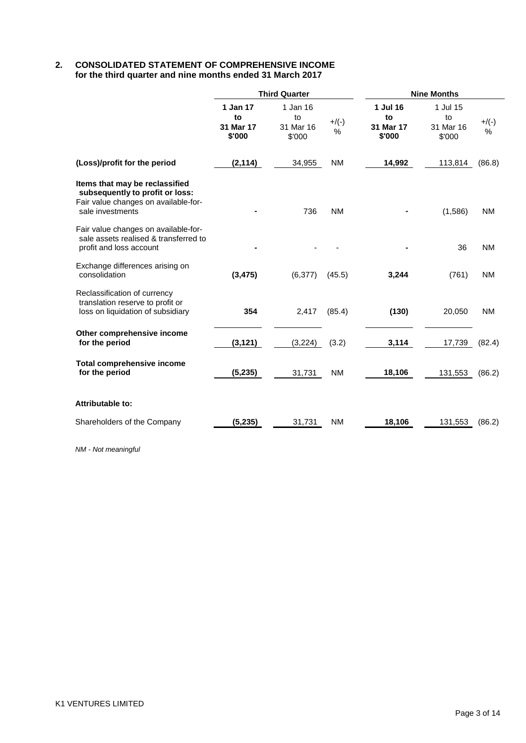#### **2. CONSOLIDATED STATEMENT OF COMPREHENSIVE INCOME for the third quarter and nine months ended 31 March 2017**

|                                                                                                                               | <b>Third Quarter</b>                  |                                       | <b>Nine Months</b> |                                       |                                       |              |
|-------------------------------------------------------------------------------------------------------------------------------|---------------------------------------|---------------------------------------|--------------------|---------------------------------------|---------------------------------------|--------------|
|                                                                                                                               | 1 Jan 17<br>to<br>31 Mar 17<br>\$'000 | 1 Jan 16<br>to<br>31 Mar 16<br>\$'000 | $+$ /(-)<br>$\%$   | 1 Jul 16<br>to<br>31 Mar 17<br>\$'000 | 1 Jul 15<br>to<br>31 Mar 16<br>\$'000 | $+/(-)$<br>% |
| (Loss)/profit for the period                                                                                                  | (2, 114)                              | 34,955                                | <b>NM</b>          | 14,992                                | 113,814                               | (86.8)       |
| Items that may be reclassified<br>subsequently to profit or loss:<br>Fair value changes on available-for-<br>sale investments |                                       | 736                                   | <b>NM</b>          |                                       | (1,586)                               | <b>NM</b>    |
| Fair value changes on available-for-<br>sale assets realised & transferred to<br>profit and loss account                      |                                       |                                       |                    |                                       | 36                                    | <b>NM</b>    |
| Exchange differences arising on<br>consolidation                                                                              | (3, 475)                              | (6, 377)                              | (45.5)             | 3,244                                 | (761)                                 | <b>NM</b>    |
| Reclassification of currency<br>translation reserve to profit or<br>loss on liquidation of subsidiary                         | 354                                   | 2,417                                 | (85.4)             | (130)                                 | 20,050                                | <b>NM</b>    |
| Other comprehensive income<br>for the period                                                                                  | (3, 121)                              | (3,224)                               | (3.2)              | 3,114                                 | 17,739                                | (82.4)       |
| <b>Total comprehensive income</b><br>for the period                                                                           | (5,235)                               | 31,731                                | <b>NM</b>          | 18,106                                | 131,553                               | (86.2)       |
| <b>Attributable to:</b>                                                                                                       |                                       |                                       |                    |                                       |                                       |              |
| Shareholders of the Company                                                                                                   | (5,235)                               | 31,731                                | <b>NM</b>          | 18,106                                | 131,553                               | (86.2)       |

*NM - Not meaningful*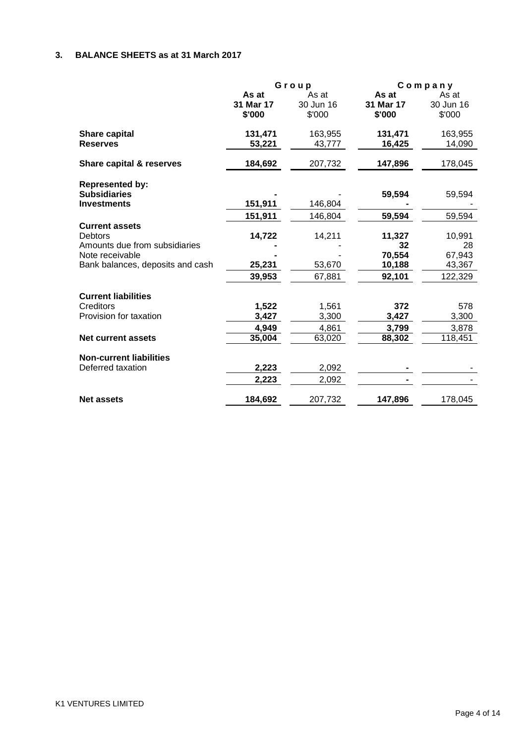# **3. BALANCE SHEETS as at 31 March 2017**

|                                                                                                                                 | Group                        |                              |                                            | Company                                     |
|---------------------------------------------------------------------------------------------------------------------------------|------------------------------|------------------------------|--------------------------------------------|---------------------------------------------|
|                                                                                                                                 | As at<br>31 Mar 17<br>\$'000 | As at<br>30 Jun 16<br>\$'000 | As at<br>31 Mar 17<br>\$'000               | As at<br>30 Jun 16<br>\$'000                |
| Share capital<br><b>Reserves</b>                                                                                                | 131,471<br>53,221            | 163,955<br>43,777            | 131,471<br>16,425                          | 163,955<br>14,090                           |
| <b>Share capital &amp; reserves</b>                                                                                             | 184,692                      | 207,732                      | 147,896                                    | 178,045                                     |
| <b>Represented by:</b><br><b>Subsidiaries</b><br><b>Investments</b>                                                             | 151,911                      | 146,804                      | 59,594                                     | 59,594                                      |
|                                                                                                                                 | 151,911                      | 146,804                      | 59,594                                     | 59,594                                      |
| <b>Current assets</b><br><b>Debtors</b><br>Amounts due from subsidiaries<br>Note receivable<br>Bank balances, deposits and cash | 14,722<br>25,231<br>39,953   | 14,211<br>53,670<br>67,881   | 11,327<br>32<br>70,554<br>10,188<br>92,101 | 10,991<br>28<br>67,943<br>43,367<br>122,329 |
| <b>Current liabilities</b><br>Creditors<br>Provision for taxation                                                               | 1,522<br>3,427<br>4,949      | 1,561<br>3,300<br>4,861      | 372<br>3,427<br>3,799                      | 578<br>3,300<br>3,878                       |
| <b>Net current assets</b>                                                                                                       | 35,004                       | 63,020                       | 88,302                                     | 118,451                                     |
| <b>Non-current liabilities</b><br>Deferred taxation                                                                             | 2,223<br>2,223               | 2,092<br>2,092               |                                            |                                             |
| <b>Net assets</b>                                                                                                               | 184,692                      | 207,732                      | 147,896                                    | 178,045                                     |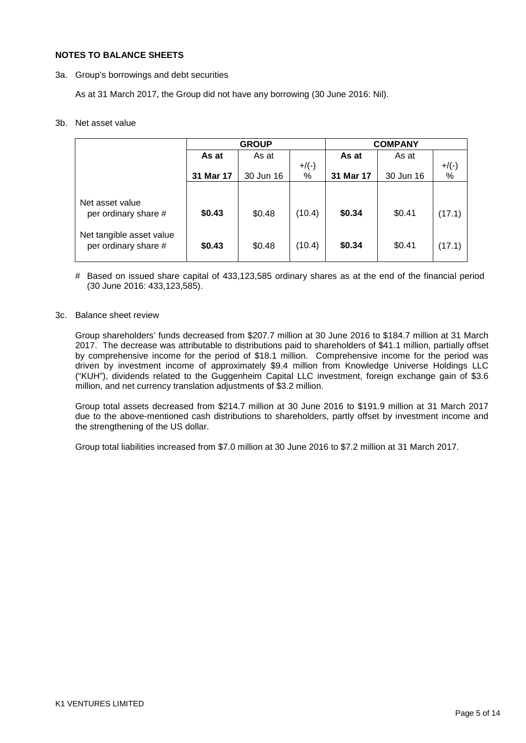#### **NOTES TO BALANCE SHEETS**

#### 3a. Group's borrowings and debt securities

As at 31 March 2017, the Group did not have any borrowing (30 June 2016: Nil).

#### 3b. Net asset value

|                                                  | <b>GROUP</b> |           |          | <b>COMPANY</b> |           |          |
|--------------------------------------------------|--------------|-----------|----------|----------------|-----------|----------|
|                                                  | As at        | As at     |          | As at          | As at     |          |
|                                                  |              |           | $+$ /(-) |                |           | $+$ /(-) |
|                                                  | 31 Mar 17    | 30 Jun 16 | %        | 31 Mar 17      | 30 Jun 16 | %        |
|                                                  |              |           |          |                |           |          |
| Net asset value<br>per ordinary share #          | \$0.43       | \$0.48    | (10.4)   | \$0.34         | \$0.41    | (17.1)   |
| Net tangible asset value<br>per ordinary share # | \$0.43       | \$0.48    | (10.4)   | \$0.34         | \$0.41    | (17.1)   |

# Based on issued share capital of 433,123,585 ordinary shares as at the end of the financial period (30 June 2016: 433,123,585).

#### 3c. Balance sheet review

Group shareholders' funds decreased from \$207.7 million at 30 June 2016 to \$184.7 million at 31 March 2017. The decrease was attributable to distributions paid to shareholders of \$41.1 million, partially offset by comprehensive income for the period of \$18.1 million. Comprehensive income for the period was driven by investment income of approximately \$9.4 million from Knowledge Universe Holdings LLC ("KUH"), dividends related to the Guggenheim Capital LLC investment, foreign exchange gain of \$3.6 million, and net currency translation adjustments of \$3.2 million.

Group total assets decreased from \$214.7 million at 30 June 2016 to \$191.9 million at 31 March 2017 due to the above-mentioned cash distributions to shareholders, partly offset by investment income and the strengthening of the US dollar.

Group total liabilities increased from \$7.0 million at 30 June 2016 to \$7.2 million at 31 March 2017.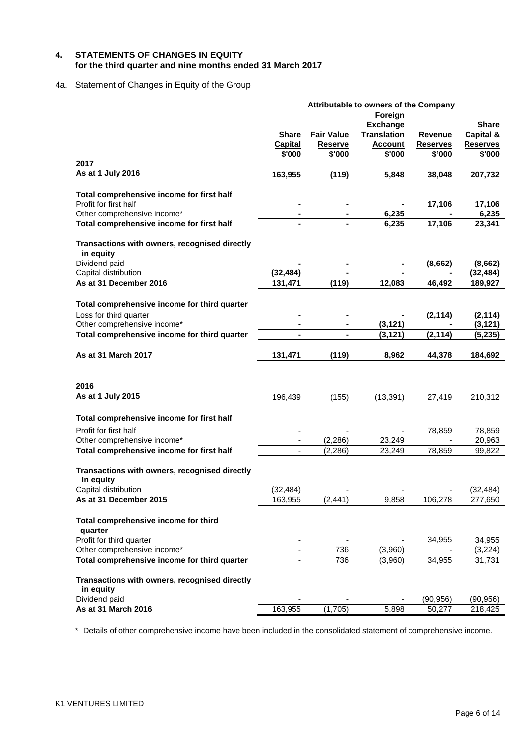#### **4. STATEMENTS OF CHANGES IN EQUITY for the third quarter and nine months ended 31 March 2017**

### 4a. Statement of Changes in Equity of the Group

|                                                            |                |                          | <b>Attributable to owners of the Company</b> |                 |                 |
|------------------------------------------------------------|----------------|--------------------------|----------------------------------------------|-----------------|-----------------|
|                                                            |                |                          | Foreign                                      |                 |                 |
|                                                            |                |                          | <b>Exchange</b>                              |                 | <b>Share</b>    |
|                                                            | <b>Share</b>   | <b>Fair Value</b>        | <b>Translation</b>                           | Revenue         | Capital &       |
|                                                            | <b>Capital</b> | <b>Reserve</b>           | <b>Account</b>                               | <b>Reserves</b> | <b>Reserves</b> |
|                                                            | \$'000         | \$'000                   | \$'000                                       | \$'000          | \$'000          |
| 2017                                                       |                |                          |                                              |                 |                 |
| As at 1 July 2016                                          | 163,955        | (119)                    | 5,848                                        | 38,048          | 207,732         |
| Total comprehensive income for first half                  |                |                          |                                              |                 |                 |
| Profit for first half                                      |                |                          |                                              | 17,106          | 17,106          |
| Other comprehensive income*                                |                |                          | 6,235                                        |                 | 6,235           |
| Total comprehensive income for first half                  |                | $\overline{\phantom{a}}$ | 6,235                                        | 17,106          | 23,341          |
|                                                            |                |                          |                                              |                 |                 |
| Transactions with owners, recognised directly              |                |                          |                                              |                 |                 |
| in equity                                                  |                |                          |                                              |                 |                 |
| Dividend paid                                              |                |                          |                                              | (8,662)         | (8,662)         |
| Capital distribution                                       | (32, 484)      |                          |                                              |                 | (32, 484)       |
| As at 31 December 2016                                     | 131,471        | (119)                    | 12,083                                       | 46,492          | 189,927         |
| Total comprehensive income for third quarter               |                |                          |                                              |                 |                 |
| Loss for third quarter                                     |                |                          |                                              | (2, 114)        | (2, 114)        |
| Other comprehensive income*                                |                |                          | (3, 121)                                     |                 | (3, 121)        |
| Total comprehensive income for third quarter               | $\blacksquare$ | $\blacksquare$           | (3, 121)                                     | (2, 114)        | (5, 235)        |
|                                                            |                |                          |                                              |                 |                 |
| As at 31 March 2017                                        | 131,471        | (119)                    | 8,962                                        | 44,378          | 184,692         |
|                                                            |                |                          |                                              |                 |                 |
|                                                            |                |                          |                                              |                 |                 |
| 2016                                                       |                |                          |                                              |                 |                 |
| As at 1 July 2015                                          | 196,439        | (155)                    | (13, 391)                                    | 27,419          | 210,312         |
|                                                            |                |                          |                                              |                 |                 |
| Total comprehensive income for first half                  |                |                          |                                              |                 |                 |
| Profit for first half                                      |                |                          |                                              | 78,859          | 78,859          |
| Other comprehensive income*                                |                | (2,286)                  | 23,249                                       |                 | 20,963          |
| Total comprehensive income for first half                  | $\blacksquare$ | (2, 286)                 | 23,249                                       | 78,859          | 99,822          |
|                                                            |                |                          |                                              |                 |                 |
| Transactions with owners, recognised directly<br>in equity |                |                          |                                              |                 |                 |
| Capital distribution                                       | (32, 484)      |                          |                                              |                 | (32, 484)       |
| As at 31 December 2015                                     | 163,955        | (2, 441)                 | 9,858                                        | 106,278         | 277,650         |
|                                                            |                |                          |                                              |                 |                 |
| Total comprehensive income for third                       |                |                          |                                              |                 |                 |
| quarter                                                    |                |                          |                                              |                 |                 |
| Profit for third quarter                                   |                |                          |                                              | 34,955          | 34,955          |
| Other comprehensive income*                                |                | 736                      | (3,960)                                      |                 | (3,224)         |
| Total comprehensive income for third quarter               |                | 736                      | (3,960)                                      | 34,955          | 31,731          |
|                                                            |                |                          |                                              |                 |                 |
| Transactions with owners, recognised directly              |                |                          |                                              |                 |                 |
| in equity                                                  |                |                          |                                              |                 |                 |
| Dividend paid                                              |                |                          |                                              | (90, 956)       | (90, 956)       |
| As at 31 March 2016                                        | 163,955        | (1,705)                  | 5,898                                        | 50,277          | 218,425         |

\* Details of other comprehensive income have been included in the consolidated statement of comprehensive income.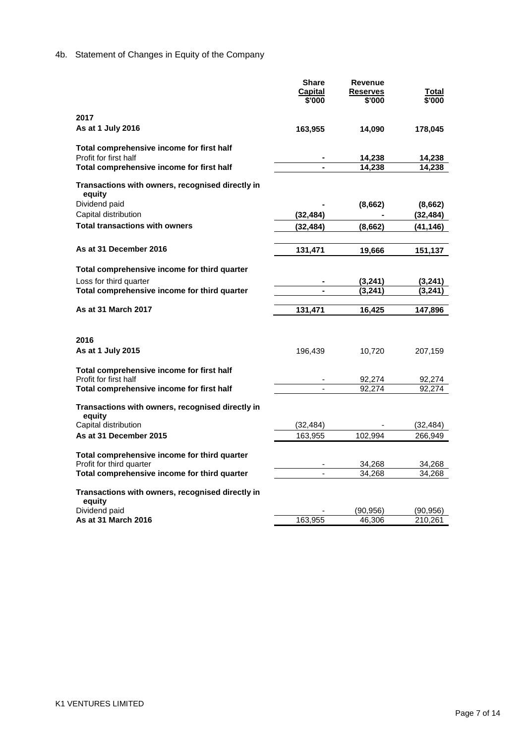## 4b. Statement of Changes in Equity of the Company

| Capital<br><b>Reserves</b><br>Total<br>\$'000<br>\$'000<br>\$'000<br>2017<br>As at 1 July 2016<br>163,955<br>14,090<br>178,045<br>Total comprehensive income for first half<br>Profit for first half<br>14,238<br>14,238<br>14.238<br>Total comprehensive income for first half<br>14,238<br>Transactions with owners, recognised directly in<br>equity<br>Dividend paid<br>(8,662)<br>(8,662)<br>Capital distribution<br>(32, 484)<br>(32, 484)<br><b>Total transactions with owners</b><br>(32, 484)<br>(8,662)<br>(41, 146)<br>As at 31 December 2016<br>131,471<br>19,666<br>151,137<br>Total comprehensive income for third quarter<br>Loss for third quarter<br>(3,241)<br>(3,241)<br>Total comprehensive income for third quarter<br>(3,241)<br>(3,241<br>As at 31 March 2017<br>131,471<br>16,425<br>147,896<br>2016<br>As at 1 July 2015<br>196,439<br>10,720<br>207,159<br>Total comprehensive income for first half<br>Profit for first half<br>92,274<br>92,274<br>92,274<br>92,274 |
|-------------------------------------------------------------------------------------------------------------------------------------------------------------------------------------------------------------------------------------------------------------------------------------------------------------------------------------------------------------------------------------------------------------------------------------------------------------------------------------------------------------------------------------------------------------------------------------------------------------------------------------------------------------------------------------------------------------------------------------------------------------------------------------------------------------------------------------------------------------------------------------------------------------------------------------------------------------------------------------------------|
|                                                                                                                                                                                                                                                                                                                                                                                                                                                                                                                                                                                                                                                                                                                                                                                                                                                                                                                                                                                                 |
|                                                                                                                                                                                                                                                                                                                                                                                                                                                                                                                                                                                                                                                                                                                                                                                                                                                                                                                                                                                                 |
|                                                                                                                                                                                                                                                                                                                                                                                                                                                                                                                                                                                                                                                                                                                                                                                                                                                                                                                                                                                                 |
|                                                                                                                                                                                                                                                                                                                                                                                                                                                                                                                                                                                                                                                                                                                                                                                                                                                                                                                                                                                                 |
|                                                                                                                                                                                                                                                                                                                                                                                                                                                                                                                                                                                                                                                                                                                                                                                                                                                                                                                                                                                                 |
|                                                                                                                                                                                                                                                                                                                                                                                                                                                                                                                                                                                                                                                                                                                                                                                                                                                                                                                                                                                                 |
|                                                                                                                                                                                                                                                                                                                                                                                                                                                                                                                                                                                                                                                                                                                                                                                                                                                                                                                                                                                                 |
|                                                                                                                                                                                                                                                                                                                                                                                                                                                                                                                                                                                                                                                                                                                                                                                                                                                                                                                                                                                                 |
|                                                                                                                                                                                                                                                                                                                                                                                                                                                                                                                                                                                                                                                                                                                                                                                                                                                                                                                                                                                                 |
|                                                                                                                                                                                                                                                                                                                                                                                                                                                                                                                                                                                                                                                                                                                                                                                                                                                                                                                                                                                                 |
|                                                                                                                                                                                                                                                                                                                                                                                                                                                                                                                                                                                                                                                                                                                                                                                                                                                                                                                                                                                                 |
|                                                                                                                                                                                                                                                                                                                                                                                                                                                                                                                                                                                                                                                                                                                                                                                                                                                                                                                                                                                                 |
|                                                                                                                                                                                                                                                                                                                                                                                                                                                                                                                                                                                                                                                                                                                                                                                                                                                                                                                                                                                                 |
|                                                                                                                                                                                                                                                                                                                                                                                                                                                                                                                                                                                                                                                                                                                                                                                                                                                                                                                                                                                                 |
|                                                                                                                                                                                                                                                                                                                                                                                                                                                                                                                                                                                                                                                                                                                                                                                                                                                                                                                                                                                                 |
|                                                                                                                                                                                                                                                                                                                                                                                                                                                                                                                                                                                                                                                                                                                                                                                                                                                                                                                                                                                                 |
|                                                                                                                                                                                                                                                                                                                                                                                                                                                                                                                                                                                                                                                                                                                                                                                                                                                                                                                                                                                                 |
|                                                                                                                                                                                                                                                                                                                                                                                                                                                                                                                                                                                                                                                                                                                                                                                                                                                                                                                                                                                                 |
|                                                                                                                                                                                                                                                                                                                                                                                                                                                                                                                                                                                                                                                                                                                                                                                                                                                                                                                                                                                                 |
|                                                                                                                                                                                                                                                                                                                                                                                                                                                                                                                                                                                                                                                                                                                                                                                                                                                                                                                                                                                                 |
|                                                                                                                                                                                                                                                                                                                                                                                                                                                                                                                                                                                                                                                                                                                                                                                                                                                                                                                                                                                                 |
|                                                                                                                                                                                                                                                                                                                                                                                                                                                                                                                                                                                                                                                                                                                                                                                                                                                                                                                                                                                                 |
|                                                                                                                                                                                                                                                                                                                                                                                                                                                                                                                                                                                                                                                                                                                                                                                                                                                                                                                                                                                                 |
|                                                                                                                                                                                                                                                                                                                                                                                                                                                                                                                                                                                                                                                                                                                                                                                                                                                                                                                                                                                                 |
|                                                                                                                                                                                                                                                                                                                                                                                                                                                                                                                                                                                                                                                                                                                                                                                                                                                                                                                                                                                                 |
|                                                                                                                                                                                                                                                                                                                                                                                                                                                                                                                                                                                                                                                                                                                                                                                                                                                                                                                                                                                                 |
| Total comprehensive income for first half                                                                                                                                                                                                                                                                                                                                                                                                                                                                                                                                                                                                                                                                                                                                                                                                                                                                                                                                                       |
| Transactions with owners, recognised directly in<br>equity                                                                                                                                                                                                                                                                                                                                                                                                                                                                                                                                                                                                                                                                                                                                                                                                                                                                                                                                      |
| Capital distribution<br>(32, 484)<br>(32, 484)                                                                                                                                                                                                                                                                                                                                                                                                                                                                                                                                                                                                                                                                                                                                                                                                                                                                                                                                                  |
| As at 31 December 2015<br>163,955<br>102,994<br>266,949                                                                                                                                                                                                                                                                                                                                                                                                                                                                                                                                                                                                                                                                                                                                                                                                                                                                                                                                         |
|                                                                                                                                                                                                                                                                                                                                                                                                                                                                                                                                                                                                                                                                                                                                                                                                                                                                                                                                                                                                 |
| Total comprehensive income for third quarter<br>Profit for third quarter<br>34,268<br>34,268                                                                                                                                                                                                                                                                                                                                                                                                                                                                                                                                                                                                                                                                                                                                                                                                                                                                                                    |
| Total comprehensive income for third quarter<br>34,268<br>34,268<br>$\sim$                                                                                                                                                                                                                                                                                                                                                                                                                                                                                                                                                                                                                                                                                                                                                                                                                                                                                                                      |
|                                                                                                                                                                                                                                                                                                                                                                                                                                                                                                                                                                                                                                                                                                                                                                                                                                                                                                                                                                                                 |
| Transactions with owners, recognised directly in<br>equity                                                                                                                                                                                                                                                                                                                                                                                                                                                                                                                                                                                                                                                                                                                                                                                                                                                                                                                                      |
| Dividend paid<br>(90, 956)<br>(90, 956)                                                                                                                                                                                                                                                                                                                                                                                                                                                                                                                                                                                                                                                                                                                                                                                                                                                                                                                                                         |
| As at 31 March 2016<br>163,955<br>46,306<br>210,261                                                                                                                                                                                                                                                                                                                                                                                                                                                                                                                                                                                                                                                                                                                                                                                                                                                                                                                                             |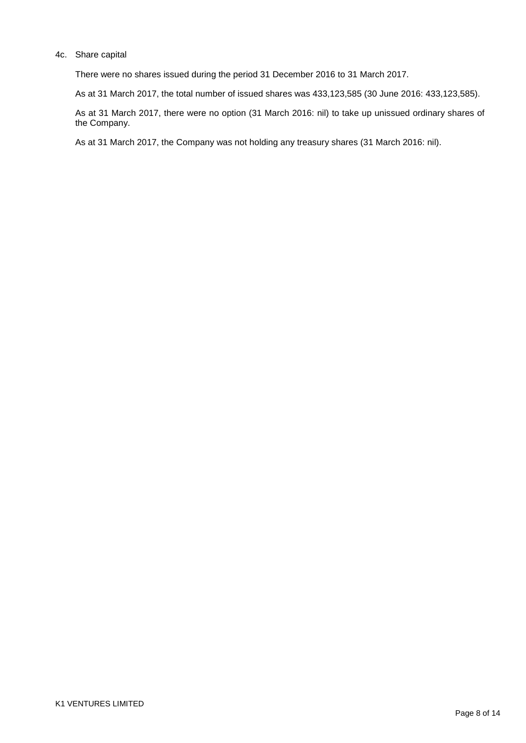#### 4c. Share capital

There were no shares issued during the period 31 December 2016 to 31 March 2017.

As at 31 March 2017, the total number of issued shares was 433,123,585 (30 June 2016: 433,123,585).

As at 31 March 2017, there were no option (31 March 2016: nil) to take up unissued ordinary shares of the Company.

As at 31 March 2017, the Company was not holding any treasury shares (31 March 2016: nil).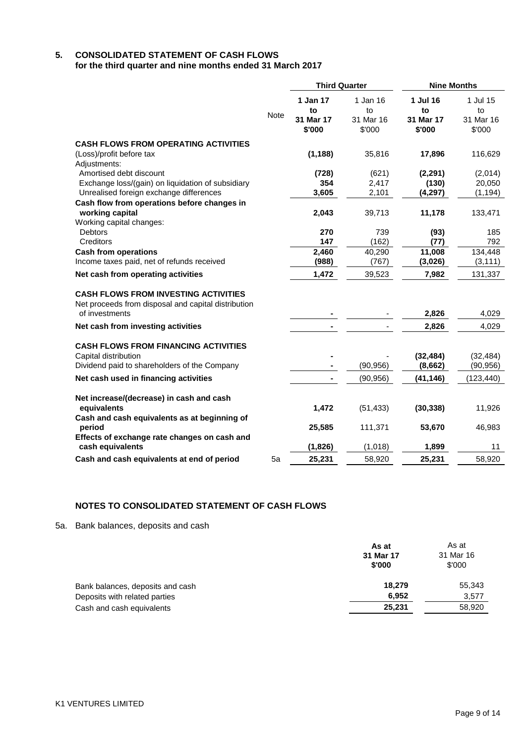# **5. CONSOLIDATED STATEMENT OF CASH FLOWS**

**for the third quarter and nine months ended 31 March 2017**

|                                                                                                                         |             | <b>Third Quarter</b>                  |                                       | <b>Nine Months</b>                    |                                       |
|-------------------------------------------------------------------------------------------------------------------------|-------------|---------------------------------------|---------------------------------------|---------------------------------------|---------------------------------------|
|                                                                                                                         | <b>Note</b> | 1 Jan 17<br>to<br>31 Mar 17<br>\$'000 | 1 Jan 16<br>to<br>31 Mar 16<br>\$'000 | 1 Jul 16<br>to<br>31 Mar 17<br>\$'000 | 1 Jul 15<br>to<br>31 Mar 16<br>\$'000 |
| <b>CASH FLOWS FROM OPERATING ACTIVITIES</b><br>(Loss)/profit before tax<br>Adjustments:                                 |             | (1, 188)                              | 35,816                                | 17,896                                | 116,629                               |
| Amortised debt discount<br>Exchange loss/(gain) on liquidation of subsidiary<br>Unrealised foreign exchange differences |             | (728)<br>354<br>3,605                 | (621)<br>2,417<br>2,101               | (2, 291)<br>(130)<br>(4, 297)         | (2,014)<br>20,050<br>(1, 194)         |
| Cash flow from operations before changes in<br>working capital<br>Working capital changes:                              |             | 2,043                                 | 39,713                                | 11,178                                | 133,471                               |
| <b>Debtors</b><br>Creditors                                                                                             |             | 270<br>147                            | 739<br>(162)                          | (93)<br>(77)                          | 185<br>792                            |
| <b>Cash from operations</b>                                                                                             |             | 2,460                                 | 40,290                                | 11,008                                | 134,448                               |
| Income taxes paid, net of refunds received                                                                              |             | (988)                                 | (767)                                 | (3,026)                               | (3, 111)                              |
| Net cash from operating activities                                                                                      |             | 1,472                                 | 39,523                                | 7,982                                 | 131,337                               |
| <b>CASH FLOWS FROM INVESTING ACTIVITIES</b><br>Net proceeds from disposal and capital distribution<br>of investments    |             |                                       |                                       | 2,826                                 | 4,029                                 |
| Net cash from investing activities                                                                                      |             |                                       |                                       | 2,826                                 | 4,029                                 |
| <b>CASH FLOWS FROM FINANCING ACTIVITIES</b><br>Capital distribution<br>Dividend paid to shareholders of the Company     |             |                                       | (90, 956)                             | (32, 484)<br>(8,662)                  | (32, 484)<br>(90, 956)                |
|                                                                                                                         |             |                                       |                                       |                                       |                                       |
| Net cash used in financing activities                                                                                   |             |                                       | (90, 956)                             | (41, 146)                             | (123, 440)                            |
| Net increase/(decrease) in cash and cash<br>equivalents<br>Cash and cash equivalents as at beginning of                 |             | 1,472                                 | (51, 433)                             | (30, 338)                             | 11,926                                |
| period                                                                                                                  |             | 25,585                                | 111,371                               | 53,670                                | 46,983                                |
| Effects of exchange rate changes on cash and<br>cash equivalents                                                        |             | (1,826)                               | (1,018)                               | 1,899                                 | 11                                    |
| Cash and cash equivalents at end of period                                                                              | 5a          | 25,231                                | 58,920                                | 25,231                                | 58,920                                |

## **NOTES TO CONSOLIDATED STATEMENT OF CASH FLOWS**

5a. Bank balances, deposits and cash

|                                  | As at<br>31 Mar 17<br>\$'000 | As at<br>31 Mar 16<br>\$'000 |
|----------------------------------|------------------------------|------------------------------|
| Bank balances, deposits and cash | 18.279                       | 55,343                       |
| Deposits with related parties    | 6.952                        | 3,577                        |
| Cash and cash equivalents        | 25,231                       | 58,920                       |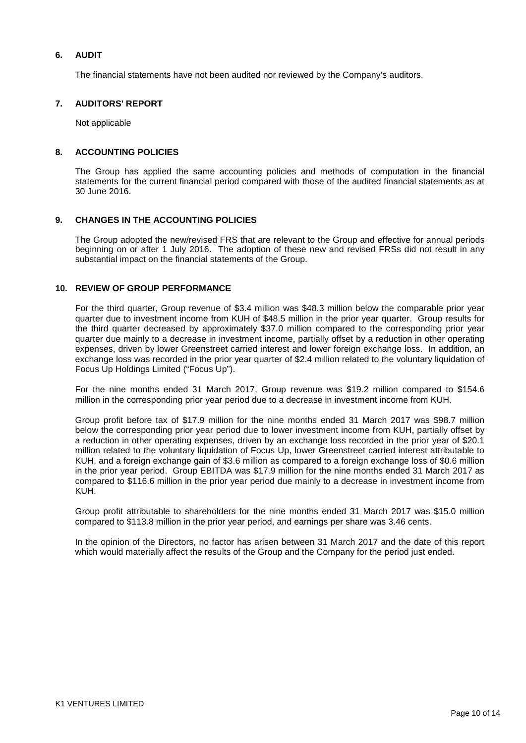#### **6. AUDIT**

The financial statements have not been audited nor reviewed by the Company's auditors.

#### **7. AUDITORS' REPORT**

Not applicable

#### **8. ACCOUNTING POLICIES**

The Group has applied the same accounting policies and methods of computation in the financial statements for the current financial period compared with those of the audited financial statements as at 30 June 2016.

#### **9. CHANGES IN THE ACCOUNTING POLICIES**

The Group adopted the new/revised FRS that are relevant to the Group and effective for annual periods beginning on or after 1 July 2016. The adoption of these new and revised FRSs did not result in any substantial impact on the financial statements of the Group.

#### **10. REVIEW OF GROUP PERFORMANCE**

For the third quarter, Group revenue of \$3.4 million was \$48.3 million below the comparable prior year quarter due to investment income from KUH of \$48.5 million in the prior year quarter. Group results for the third quarter decreased by approximately \$37.0 million compared to the corresponding prior year quarter due mainly to a decrease in investment income, partially offset by a reduction in other operating expenses, driven by lower Greenstreet carried interest and lower foreign exchange loss. In addition, an exchange loss was recorded in the prior year quarter of \$2.4 million related to the voluntary liquidation of Focus Up Holdings Limited ("Focus Up").

For the nine months ended 31 March 2017, Group revenue was \$19.2 million compared to \$154.6 million in the corresponding prior year period due to a decrease in investment income from KUH.

Group profit before tax of \$17.9 million for the nine months ended 31 March 2017 was \$98.7 million below the corresponding prior year period due to lower investment income from KUH, partially offset by a reduction in other operating expenses, driven by an exchange loss recorded in the prior year of \$20.1 million related to the voluntary liquidation of Focus Up, lower Greenstreet carried interest attributable to KUH, and a foreign exchange gain of \$3.6 million as compared to a foreign exchange loss of \$0.6 million in the prior year period. Group EBITDA was \$17.9 million for the nine months ended 31 March 2017 as compared to \$116.6 million in the prior year period due mainly to a decrease in investment income from KUH.

Group profit attributable to shareholders for the nine months ended 31 March 2017 was \$15.0 million compared to \$113.8 million in the prior year period, and earnings per share was 3.46 cents.

In the opinion of the Directors, no factor has arisen between 31 March 2017 and the date of this report which would materially affect the results of the Group and the Company for the period just ended.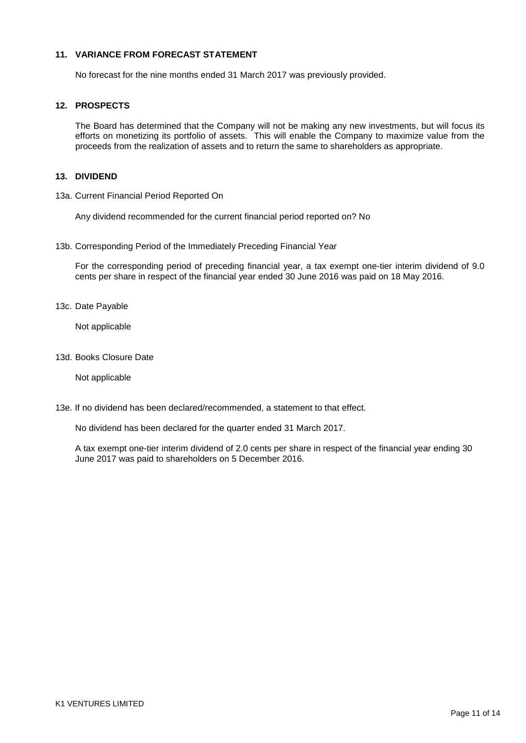#### **11. VARIANCE FROM FORECAST STATEMENT**

No forecast for the nine months ended 31 March 2017 was previously provided.

#### **12. PROSPECTS**

The Board has determined that the Company will not be making any new investments, but will focus its efforts on monetizing its portfolio of assets. This will enable the Company to maximize value from the proceeds from the realization of assets and to return the same to shareholders as appropriate.

#### **13. DIVIDEND**

13a. Current Financial Period Reported On

Any dividend recommended for the current financial period reported on? No

13b. Corresponding Period of the Immediately Preceding Financial Year

For the corresponding period of preceding financial year, a tax exempt one-tier interim dividend of 9.0 cents per share in respect of the financial year ended 30 June 2016 was paid on 18 May 2016.

13c. Date Payable

Not applicable

13d. Books Closure Date

Not applicable

13e. If no dividend has been declared/recommended, a statement to that effect.

No dividend has been declared for the quarter ended 31 March 2017.

A tax exempt one-tier interim dividend of 2.0 cents per share in respect of the financial year ending 30 June 2017 was paid to shareholders on 5 December 2016.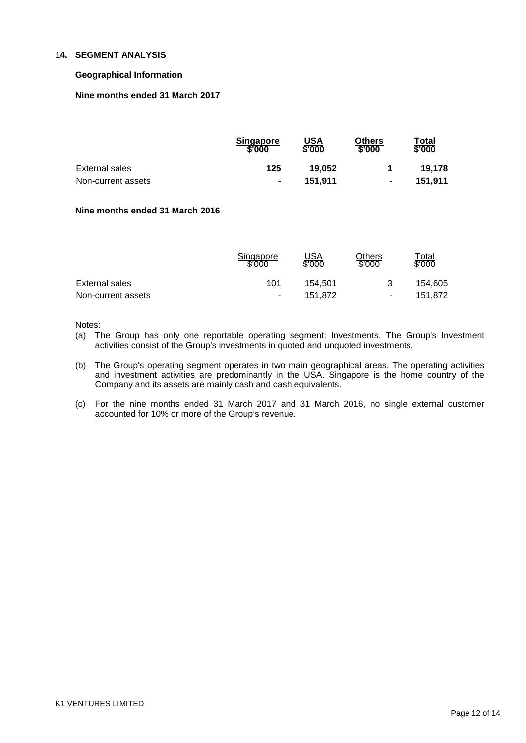#### **14. SEGMENT ANALYSIS**

#### **Geographical Information**

#### **Nine months ended 31 March 2017**

|                    | <b>Singapore</b><br>\$'000 | USA<br>\$'000 | Others<br>\$'000 | ™otal<br>\$'000 |
|--------------------|----------------------------|---------------|------------------|-----------------|
| External sales     | 125                        | 19.052        |                  | 19.178          |
| Non-current assets | $\blacksquare$             | 151.911       | $\blacksquare$   | 151.911         |

#### **Nine months ended 31 March 2016**

|                    | Singapore<br>\$'000 | USA<br>\$'000 | Others<br>\$'000 | Total<br>\$'000 |
|--------------------|---------------------|---------------|------------------|-----------------|
| External sales     | 101                 | 154.501       |                  | 154.605         |
| Non-current assets | $\sim$              | 151.872       | ٠.               | 151,872         |

Notes:

- (a) The Group has only one reportable operating segment: Investments. The Group's Investment activities consist of the Group's investments in quoted and unquoted investments.
- (b) The Group's operating segment operates in two main geographical areas. The operating activities and investment activities are predominantly in the USA. Singapore is the home country of the Company and its assets are mainly cash and cash equivalents.
- (c) For the nine months ended 31 March 2017 and 31 March 2016, no single external customer accounted for 10% or more of the Group's revenue.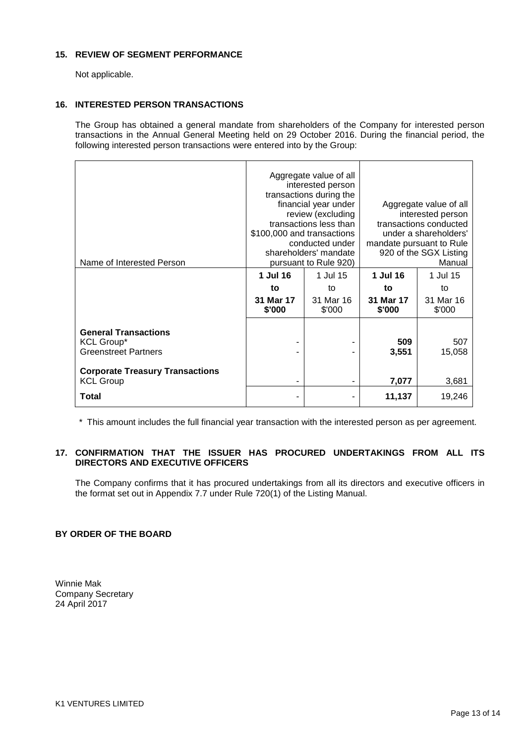#### **15. REVIEW OF SEGMENT PERFORMANCE**

Not applicable.

#### **16. INTERESTED PERSON TRANSACTIONS**

The Group has obtained a general mandate from shareholders of the Company for interested person transactions in the Annual General Meeting held on 29 October 2016. During the financial period, the following interested person transactions were entered into by the Group:

| Name of Interested Person                                  | Aggregate value of all<br>interested person<br>transactions during the<br>financial year under<br>review (excluding<br>transactions less than<br>\$100,000 and transactions<br>conducted under<br>shareholders' mandate<br>pursuant to Rule 920) |                     | Aggregate value of all<br>interested person<br>transactions conducted<br>under a shareholders'<br>mandate pursuant to Rule<br>920 of the SGX Listing<br>Manual |                     |
|------------------------------------------------------------|--------------------------------------------------------------------------------------------------------------------------------------------------------------------------------------------------------------------------------------------------|---------------------|----------------------------------------------------------------------------------------------------------------------------------------------------------------|---------------------|
|                                                            | 1 Jul 16                                                                                                                                                                                                                                         | 1 Jul 15            | 1 Jul 16                                                                                                                                                       | 1 Jul 15            |
|                                                            | to                                                                                                                                                                                                                                               | to                  | to                                                                                                                                                             | to                  |
|                                                            | 31 Mar 17<br>\$'000                                                                                                                                                                                                                              | 31 Mar 16<br>\$'000 | 31 Mar 17<br>\$'000                                                                                                                                            | 31 Mar 16<br>\$'000 |
| <b>General Transactions</b>                                |                                                                                                                                                                                                                                                  |                     |                                                                                                                                                                |                     |
| <b>KCL Group*</b><br><b>Greenstreet Partners</b>           |                                                                                                                                                                                                                                                  |                     | 509<br>3,551                                                                                                                                                   | 507<br>15,058       |
| <b>Corporate Treasury Transactions</b><br><b>KCL Group</b> |                                                                                                                                                                                                                                                  |                     | 7,077                                                                                                                                                          | 3,681               |
| Total                                                      |                                                                                                                                                                                                                                                  |                     | 11,137                                                                                                                                                         | 19.246              |

\* This amount includes the full financial year transaction with the interested person as per agreement.

#### **17. CONFIRMATION THAT THE ISSUER HAS PROCURED UNDERTAKINGS FROM ALL ITS DIRECTORS AND EXECUTIVE OFFICERS**

The Company confirms that it has procured undertakings from all its directors and executive officers in the format set out in Appendix 7.7 under Rule 720(1) of the Listing Manual.

#### **BY ORDER OF THE BOARD**

Winnie Mak Company Secretary 24 April 2017